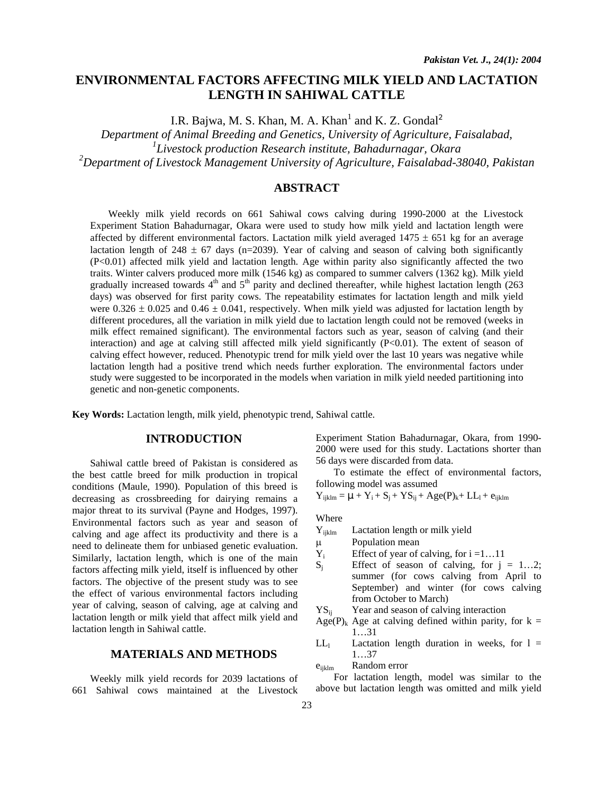# **ENVIRONMENTAL FACTORS AFFECTING MILK YIELD AND LACTATION LENGTH IN SAHIWAL CATTLE**

I.R. Bajwa, M. S. Khan, M. A. Khan<sup>1</sup> and K. Z. Gondal<sup>2</sup>

*Department of Animal Breeding and Genetics, University of Agriculture, Faisalabad,* 

*1 Livestock production Research institute, Bahadurnagar, Okara* 

*2 Department of Livestock Management University of Agriculture, Faisalabad-38040, Pakistan* 

# **ABSTRACT**

 Weekly milk yield records on 661 Sahiwal cows calving during 1990-2000 at the Livestock Experiment Station Bahadurnagar, Okara were used to study how milk yield and lactation length were affected by different environmental factors. Lactation milk yield averaged  $1475 \pm 651$  kg for an average lactation length of 248  $\pm$  67 days (n=2039). Year of calving and season of calving both significantly (P<0.01) affected milk yield and lactation length. Age within parity also significantly affected the two traits. Winter calvers produced more milk (1546 kg) as compared to summer calvers (1362 kg). Milk yield gradually increased towards  $4<sup>th</sup>$  and  $5<sup>th</sup>$  parity and declined thereafter, while highest lactation length (263) days) was observed for first parity cows. The repeatability estimates for lactation length and milk yield were  $0.326 \pm 0.025$  and  $0.46 \pm 0.041$ , respectively. When milk yield was adjusted for lactation length by different procedures, all the variation in milk yield due to lactation length could not be removed (weeks in milk effect remained significant). The environmental factors such as year, season of calving (and their interaction) and age at calving still affected milk yield significantly (P<0.01). The extent of season of calving effect however, reduced. Phenotypic trend for milk yield over the last 10 years was negative while lactation length had a positive trend which needs further exploration. The environmental factors under study were suggested to be incorporated in the models when variation in milk yield needed partitioning into genetic and non-genetic components.

**Key Words:** Lactation length, milk yield, phenotypic trend, Sahiwal cattle.

# **INTRODUCTION**

Sahiwal cattle breed of Pakistan is considered as the best cattle breed for milk production in tropical conditions (Maule, 1990). Population of this breed is decreasing as crossbreeding for dairying remains a major threat to its survival (Payne and Hodges, 1997). Environmental factors such as year and season of calving and age affect its productivity and there is a need to delineate them for unbiased genetic evaluation. Similarly, lactation length, which is one of the main factors affecting milk yield, itself is influenced by other factors. The objective of the present study was to see the effect of various environmental factors including year of calving, season of calving, age at calving and lactation length or milk yield that affect milk yield and lactation length in Sahiwal cattle.

### **MATERIALS AND METHODS**

Weekly milk yield records for 2039 lactations of 661 Sahiwal cows maintained at the Livestock

Experiment Station Bahadurnagar, Okara, from 1990- 2000 were used for this study. Lactations shorter than 56 days were discarded from data.

To estimate the effect of environmental factors, following model was assumed

 $Y_{ijklm} = \mu + Y_i + S_j + YS_{ij} + Age(P)_k + LL_1 + e_{ijklm}$ 

Where

Y<sub>ijklm</sub> Lactation length or milk yield

- µ Population mean
- $Y_i$  Effect of year of calving, for  $i = 1...11$
- $S_i$  Effect of season of calving, for  $j = 1...2$ ; summer (for cows calving from April to September) and winter (for cows calving from October to March)
- $YS_{ii}$  Year and season of calving interaction
- Age(P)<sub>k</sub> Age at calving defined within parity, for  $k =$ 1…31
- $LL<sub>1</sub>$  Lactation length duration in weeks, for  $l =$ 1…37

eijklm Random error

For lactation length, model was similar to the above but lactation length was omitted and milk yield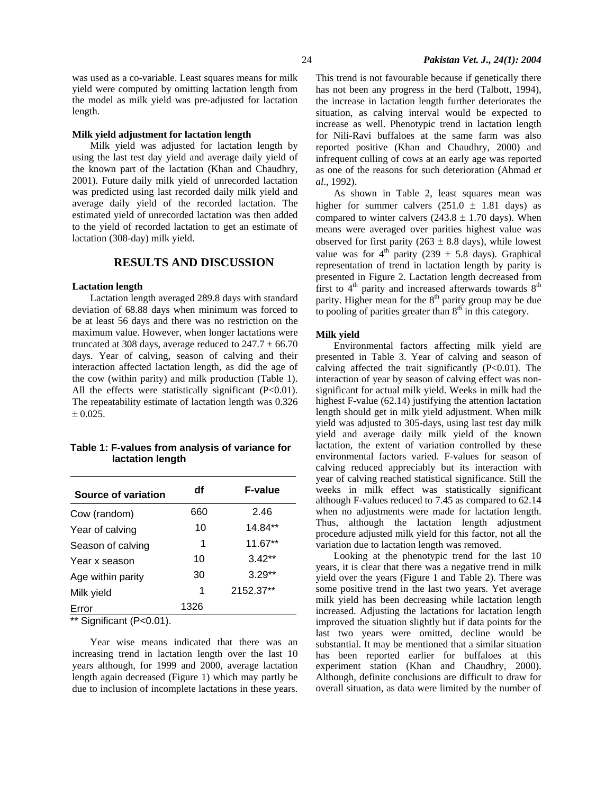was used as a co-variable. Least squares means for milk yield were computed by omitting lactation length from the model as milk yield was pre-adjusted for lactation length.

#### **Milk yield adjustment for lactation length**

Milk yield was adjusted for lactation length by using the last test day yield and average daily yield of the known part of the lactation (Khan and Chaudhry, 2001). Future daily milk yield of unrecorded lactation was predicted using last recorded daily milk yield and average daily yield of the recorded lactation. The estimated yield of unrecorded lactation was then added to the yield of recorded lactation to get an estimate of lactation (308-day) milk yield.

#### **RESULTS AND DISCUSSION**

#### **Lactation length**

Lactation length averaged 289.8 days with standard deviation of 68.88 days when minimum was forced to be at least 56 days and there was no restriction on the maximum value. However, when longer lactations were truncated at 308 days, average reduced to  $247.7 \pm 66.70$ days. Year of calving, season of calving and their interaction affected lactation length, as did the age of the cow (within parity) and milk production (Table 1). All the effects were statistically significant  $(P<0.01)$ . The repeatability estimate of lactation length was 0.326  $± 0.025.$ 

### **Table 1: F-values from analysis of variance for lactation length**

| Source of variation                          | df   | <b>F-value</b> |
|----------------------------------------------|------|----------------|
| Cow (random)                                 | 660  | 2.46           |
| Year of calving                              | 10   | 14.84**        |
| Season of calving                            | 1    | 11.67**        |
| Year x season                                | 10   | $3.42**$       |
| Age within parity                            | 30   | $3.29**$       |
| Milk yield                                   | 1    | 2152.37**      |
| Error<br>$\cdot$ .<br>$\sim$ $\sim$<br>$  -$ | 1326 |                |

\*\* Significant (P<0.01).

Year wise means indicated that there was an increasing trend in lactation length over the last 10 years although, for 1999 and 2000, average lactation length again decreased (Figure 1) which may partly be due to inclusion of incomplete lactations in these years. This trend is not favourable because if genetically there has not been any progress in the herd (Talbott, 1994), the increase in lactation length further deteriorates the situation, as calving interval would be expected to increase as well. Phenotypic trend in lactation length for Nili-Ravi buffaloes at the same farm was also reported positive (Khan and Chaudhry, 2000) and infrequent culling of cows at an early age was reported as one of the reasons for such deterioration (Ahmad *et al*., 1992).

As shown in Table 2, least squares mean was higher for summer calvers  $(251.0 \pm 1.81$  days) as compared to winter calvers  $(243.8 \pm 1.70 \text{ days})$ . When means were averaged over parities highest value was observed for first parity (263  $\pm$  8.8 days), while lowest value was for  $4^{th}$  parity (239  $\pm$  5.8 days). Graphical representation of trend in lactation length by parity is presented in Figure 2. Lactation length decreased from first to  $4<sup>th</sup>$  parity and increased afterwards towards  $8<sup>th</sup>$ parity. Higher mean for the  $8<sup>th</sup>$  parity group may be due to pooling of parities greater than  $8<sup>th</sup>$  in this category.

#### **Milk yield**

Environmental factors affecting milk yield are presented in Table 3. Year of calving and season of calving affected the trait significantly  $(P<0.01)$ . The interaction of year by season of calving effect was nonsignificant for actual milk yield. Weeks in milk had the highest F-value (62.14) justifying the attention lactation length should get in milk yield adjustment. When milk yield was adjusted to 305-days, using last test day milk yield and average daily milk yield of the known lactation, the extent of variation controlled by these environmental factors varied. F-values for season of calving reduced appreciably but its interaction with year of calving reached statistical significance. Still the weeks in milk effect was statistically significant although F-values reduced to 7.45 as compared to 62.14 when no adjustments were made for lactation length. Thus, although the lactation length adjustment procedure adjusted milk yield for this factor, not all the variation due to lactation length was removed.

Looking at the phenotypic trend for the last 10 years, it is clear that there was a negative trend in milk yield over the years (Figure 1 and Table 2). There was some positive trend in the last two years. Yet average milk yield has been decreasing while lactation length increased. Adjusting the lactations for lactation length improved the situation slightly but if data points for the last two years were omitted, decline would be substantial. It may be mentioned that a similar situation has been reported earlier for buffaloes at this experiment station (Khan and Chaudhry, 2000). Although, definite conclusions are difficult to draw for overall situation, as data were limited by the number of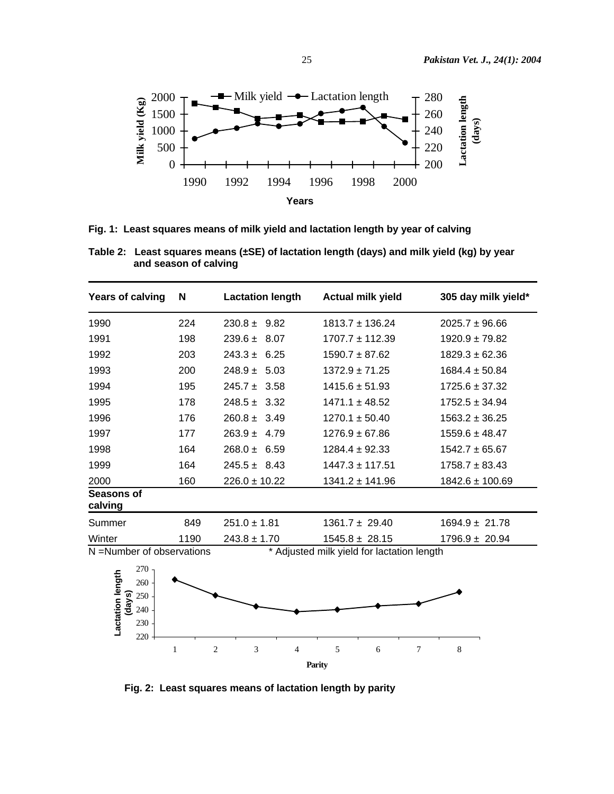

**Fig. 1: Least squares means of milk yield and lactation length by year of calving** 

| <b>Years of calving</b>   | N    | <b>Lactation length</b> | <b>Actual milk yield</b>                   | 305 day milk yield* |
|---------------------------|------|-------------------------|--------------------------------------------|---------------------|
| 1990                      | 224  | $230.8 \pm 9.82$        | $1813.7 \pm 136.24$                        | $2025.7 \pm 96.66$  |
| 1991                      | 198  | $239.6 \pm 8.07$        | $1707.7 \pm 112.39$                        | $1920.9 \pm 79.82$  |
| 1992                      | 203  | $243.3 \pm 6.25$        | $1590.7 \pm 87.62$                         | $1829.3 \pm 62.36$  |
| 1993                      | 200  | $248.9 \pm 5.03$        | $1372.9 \pm 71.25$                         | $1684.4 \pm 50.84$  |
| 1994                      | 195  | $245.7 \pm 3.58$        | $1415.6 \pm 51.93$                         | $1725.6 \pm 37.32$  |
| 1995                      | 178  | $248.5 \pm 3.32$        | $1471.1 \pm 48.52$                         | $1752.5 \pm 34.94$  |
| 1996                      | 176  | $260.8 \pm 3.49$        | $1270.1 \pm 50.40$                         | $1563.2 \pm 36.25$  |
| 1997                      | 177  | $263.9 \pm 4.79$        | $1276.9 \pm 67.86$                         | $1559.6 \pm 48.47$  |
| 1998                      | 164  | $268.0 \pm 6.59$        | $1284.4 \pm 92.33$                         | $1542.7 \pm 65.67$  |
| 1999                      | 164  | $245.5 \pm 8.43$        | $1447.3 \pm 117.51$                        | $1758.7 \pm 83.43$  |
| 2000                      | 160  | $226.0 \pm 10.22$       | $1341.2 \pm 141.96$                        | $1842.6 \pm 100.69$ |
| Seasons of<br>calving     |      |                         |                                            |                     |
| Summer                    | 849  | $251.0 \pm 1.81$        | $1361.7 \pm 29.40$                         | $1694.9 \pm 21.78$  |
| Winter                    | 1190 | $243.8 \pm 1.70$        | $1545.8 \pm 28.15$                         | $1796.9 \pm 20.94$  |
| N =Number of observations |      |                         | * Adjusted milk yield for lactation length |                     |

**Table 2: Least squares means (±SE) of lactation length (days) and milk yield (kg) by year and season of calving** 



 **Fig. 2: Least squares means of lactation length by parity**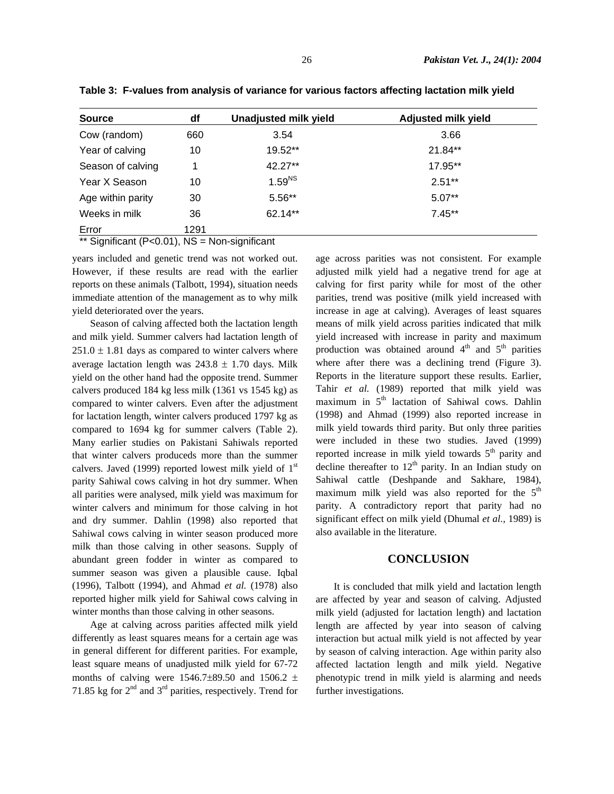| <b>Source</b>     | df   | Unadjusted milk yield | <b>Adjusted milk yield</b> |  |
|-------------------|------|-----------------------|----------------------------|--|
| Cow (random)      | 660  | 3.54                  | 3.66                       |  |
| Year of calving   | 10   | 19.52**               | 21.84**                    |  |
| Season of calving |      | $42.27**$             | 17.95**                    |  |
| Year X Season     | 10   | 1.59 <sup>NS</sup>    | $2.51**$                   |  |
| Age within parity | 30   | 5.56**                | $5.07**$                   |  |
| Weeks in milk     | 36   | 62.14**               | $7.45**$                   |  |
| Error             | 1291 |                       |                            |  |

**Table 3: F-values from analysis of variance for various factors affecting lactation milk yield** 

\*\* Significant  $(P<0.01)$ , NS = Non-significant

years included and genetic trend was not worked out. However, if these results are read with the earlier reports on these animals (Talbott, 1994), situation needs immediate attention of the management as to why milk yield deteriorated over the years.

Season of calving affected both the lactation length and milk yield. Summer calvers had lactation length of  $251.0 \pm 1.81$  days as compared to winter calvers where average lactation length was  $243.8 \pm 1.70$  days. Milk yield on the other hand had the opposite trend. Summer calvers produced 184 kg less milk (1361 vs 1545 kg) as compared to winter calvers. Even after the adjustment for lactation length, winter calvers produced 1797 kg as compared to 1694 kg for summer calvers (Table 2). Many earlier studies on Pakistani Sahiwals reported that winter calvers produceds more than the summer calvers. Javed (1999) reported lowest milk yield of  $1<sup>st</sup>$ parity Sahiwal cows calving in hot dry summer. When all parities were analysed, milk yield was maximum for winter calvers and minimum for those calving in hot and dry summer. Dahlin (1998) also reported that Sahiwal cows calving in winter season produced more milk than those calving in other seasons. Supply of abundant green fodder in winter as compared to summer season was given a plausible cause. Iqbal (1996), Talbott (1994), and Ahmad *et al.* (1978) also reported higher milk yield for Sahiwal cows calving in winter months than those calving in other seasons.

Age at calving across parities affected milk yield differently as least squares means for a certain age was in general different for different parities. For example, least square means of unadjusted milk yield for 67-72 months of calving were 1546.7 $\pm$ 89.50 and 1506.2  $\pm$ 71.85 kg for  $2<sup>nd</sup>$  and  $3<sup>rd</sup>$  parities, respectively. Trend for age across parities was not consistent. For example adjusted milk yield had a negative trend for age at calving for first parity while for most of the other parities, trend was positive (milk yield increased with increase in age at calving). Averages of least squares means of milk yield across parities indicated that milk yield increased with increase in parity and maximum production was obtained around  $4<sup>th</sup>$  and  $5<sup>th</sup>$  parities where after there was a declining trend (Figure 3). Reports in the literature support these results. Earlier, Tahir *et al.* (1989) reported that milk yield was maximum in 5<sup>th</sup> lactation of Sahiwal cows. Dahlin (1998) and Ahmad (1999) also reported increase in milk yield towards third parity. But only three parities were included in these two studies. Javed (1999) reported increase in milk yield towards  $5<sup>th</sup>$  parity and decline thereafter to  $12<sup>th</sup>$  parity. In an Indian study on Sahiwal cattle (Deshpande and Sakhare, 1984), maximum milk yield was also reported for the  $5<sup>th</sup>$ parity. A contradictory report that parity had no significant effect on milk yield (Dhumal *et al.,* 1989) is also available in the literature.

## **CONCLUSION**

It is concluded that milk yield and lactation length are affected by year and season of calving. Adjusted milk yield (adjusted for lactation length) and lactation length are affected by year into season of calving interaction but actual milk yield is not affected by year by season of calving interaction. Age within parity also affected lactation length and milk yield. Negative phenotypic trend in milk yield is alarming and needs further investigations.